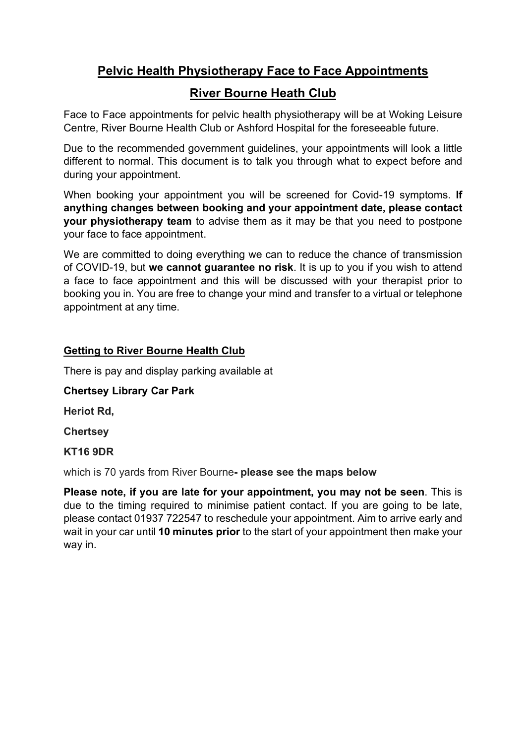## Pelvic Health Physiotherapy Face to Face Appointments

# River Bourne Heath Club

Face to Face appointments for pelvic health physiotherapy will be at Woking Leisure Centre, River Bourne Health Club or Ashford Hospital for the foreseeable future.

Due to the recommended government guidelines, your appointments will look a little different to normal. This document is to talk you through what to expect before and during your appointment.

When booking your appointment you will be screened for Covid-19 symptoms. If anything changes between booking and your appointment date, please contact your physiotherapy team to advise them as it may be that you need to postpone your face to face appointment.

We are committed to doing everything we can to reduce the chance of transmission of COVID-19, but we cannot quarantee no risk. It is up to you if you wish to attend a face to face appointment and this will be discussed with your therapist prior to booking you in. You are free to change your mind and transfer to a virtual or telephone appointment at any time.

### Getting to River Bourne Health Club

There is pay and display parking available at

Chertsey Library Car Park

Heriot Rd,

**Chertsey** 

KT16 9DR

which is 70 yards from River Bourne- please see the maps below

Please note, if you are late for your appointment, you may not be seen. This is due to the timing required to minimise patient contact. If you are going to be late, please contact 01937 722547 to reschedule your appointment. Aim to arrive early and wait in your car until 10 minutes prior to the start of your appointment then make your way in.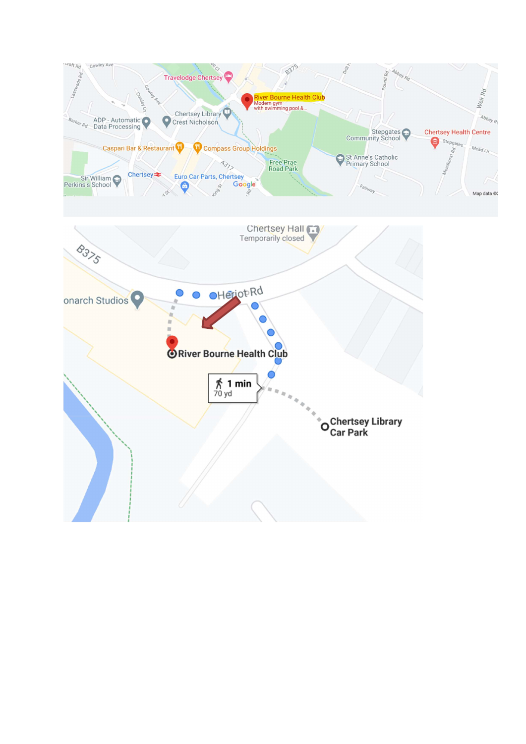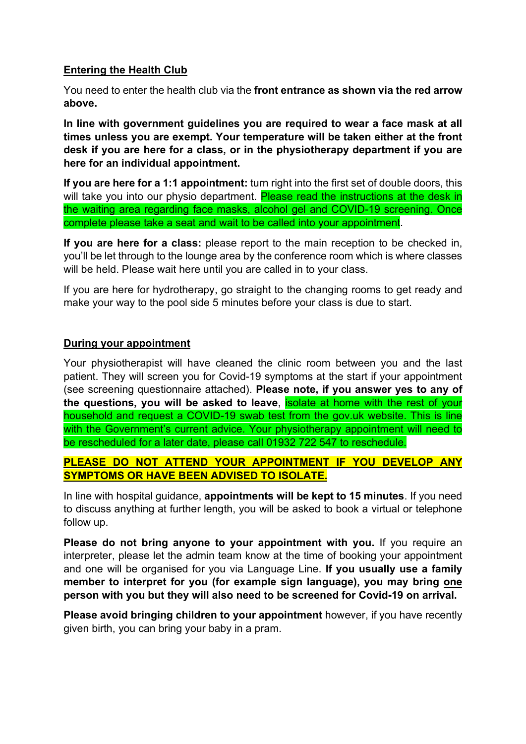### Entering the Health Club

You need to enter the health club via the front entrance as shown via the red arrow above.

In line with government guidelines you are required to wear a face mask at all times unless you are exempt. Your temperature will be taken either at the front desk if you are here for a class, or in the physiotherapy department if you are here for an individual appointment.

If you are here for a 1:1 appointment: turn right into the first set of double doors, this will take you into our physio department. Please read the instructions at the desk in the waiting area regarding face masks, alcohol gel and COVID-19 screening. Once complete please take a seat and wait to be called into your appointment.

If you are here for a class: please report to the main reception to be checked in, you'll be let through to the lounge area by the conference room which is where classes will be held. Please wait here until you are called in to your class.

If you are here for hydrotherapy, go straight to the changing rooms to get ready and make your way to the pool side 5 minutes before your class is due to start.

### During your appointment

Your physiotherapist will have cleaned the clinic room between you and the last patient. They will screen you for Covid-19 symptoms at the start if your appointment (see screening questionnaire attached). Please note, if you answer yes to any of the questions, you will be asked to leave, isolate at home with the rest of your household and request a COVID-19 swab test from the gov.uk website. This is line with the Government's current advice. Your physiotherapy appointment will need to be rescheduled for a later date, please call 01932 722 547 to reschedule.

### PLEASE DO NOT ATTEND YOUR APPOINTMENT IF YOU DEVELOP ANY SYMPTOMS OR HAVE BEEN ADVISED TO ISOLATE.

In line with hospital guidance, appointments will be kept to 15 minutes. If you need to discuss anything at further length, you will be asked to book a virtual or telephone follow up.

Please do not bring anyone to your appointment with you. If you require an interpreter, please let the admin team know at the time of booking your appointment and one will be organised for you via Language Line. If you usually use a family member to interpret for you (for example sign language), you may bring one person with you but they will also need to be screened for Covid-19 on arrival.

Please avoid bringing children to your appointment however, if you have recently given birth, you can bring your baby in a pram.